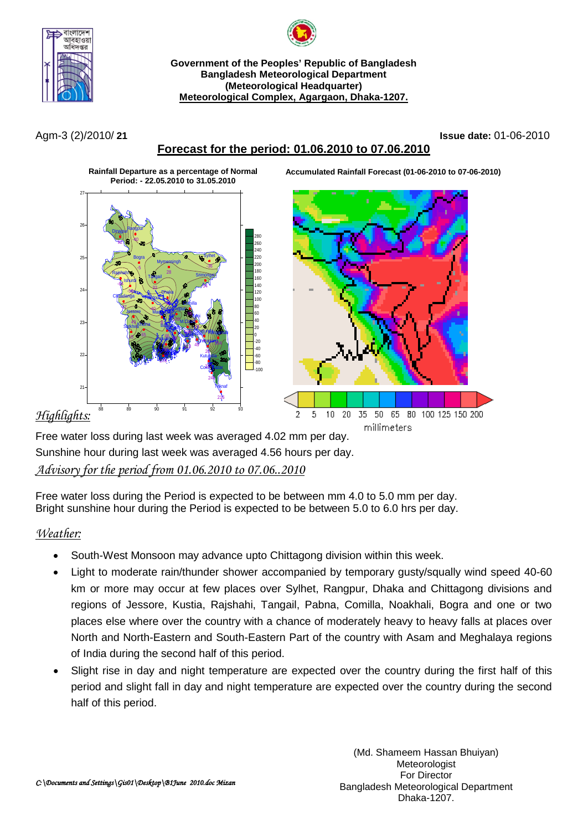



**Government of the Peoples' Republic of Bangladesh Bangladesh Meteorological Department (Meteorological Headquarter) Meteorological Complex, Agargaon, Dhaka-1207.**

### Agm-3 (2)/2010/ **21 Issue date:** 01-06-2010

# **Forecast for the period: 01.06.2010 to 07.06.2010**

**Accumulated Rainfall Forecast (01-06-2010 to 07-06-2010)**



## *Highlights:*

Free water loss during last week was averaged 4.02 mm per day. Sunshine hour during last week was averaged 4.56 hours per day. *Advisory for the period from 01.06.2010 to 07.06..2010*

Free water loss during the Period is expected to be between mm 4.0 to 5.0 mm per day. Bright sunshine hour during the Period is expected to be between 5.0 to 6.0 hrs per day.

# *Weather:*

- South-West Monsoon may advance upto Chittagong division within this week.
- Light to moderate rain/thunder shower accompanied by temporary qusty/squally wind speed 40-60 km or more may occur at few places over Sylhet, Rangpur, Dhaka and Chittagong divisions and regions of Jessore, Kustia, Rajshahi, Tangail, Pabna, Comilla, Noakhali, Bogra and one or two places else where over the country with a chance of moderately heavy to heavy falls at places over North and North-Eastern and South-Eastern Part of the country with Asam and Meghalaya regions of India during the second half of this period.
- Slight rise in day and night temperature are expected over the country during the first half of this period and slight fall in day and night temperature are expected over the country during the second half of this period.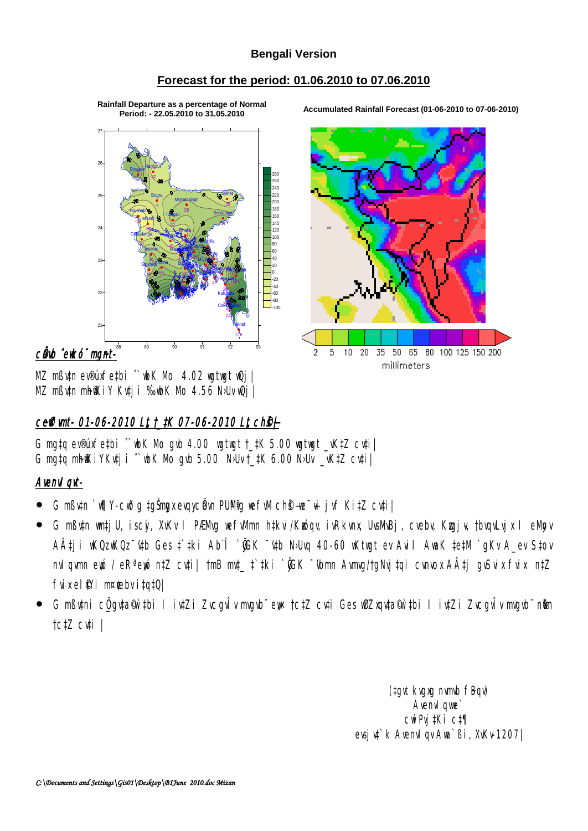## **Bengali Version**

## Forecast for the period: 01.06.2010 to 07.06.2010

Rainfall Departure as a percentage of Normal Period: - 22.05.2010 to 31.05.2010

 $25$ 180  $140$  $\overline{2}$ - --<br>120 <sub>n</sub>  $23$  $\overline{20}$  $\overline{2}$  $-60$ <br> $-80$  $\mathfrak{p}$ 

cânb ^emko mant-

MZ mßv‡n ev®úxfe‡bi "wbK Mo 4.02 wgtwgt wQj | MZ mButn mhfKiY Kutji ‰ubK Mo 4.56 N>Uv uQj |

# ceffimt- 01-06-2010 Lt t\_tK 07-06-2010 Lt ch§+

G mqtq ev®uxfetbi ^wbK Mo gvb 4.00 wgtwgt t\_tK 5.00 wgtwgt \_vKtZ cvti | G mgtg mhfKiYKuti i "wbK Mo gub 5.00 NJU t tK 6.00 NJU vKtZ cuti |

# **Avenvl gyt-**

- G mßv‡n `w¶Y-cwðg ‡gŠmgx evqycëvn PUMig wefw| chŝ—we~wi jvf Ki‡Z cv‡i |
- · G mßv‡n wm‡jU, iscj, XvKv I PÆMvq wefwMmn h‡kvi/Kwóqv, ivRkvnx, UvsMvBj, cvebv, Kwgj¥, †bvqvLvjx I eMpv A‡ji wKQzwKQz ttb Gesttki Abî `@GK ttb N>Uvq 40–60 wKtwgt ev Avil AwaK tetM `qKv A ev Stov nvlqwmn ewó / eR<sup>a</sup>ewó n‡Z cuti| tmB mut\_ t`tki `@GK <sup>-</sup>wbmn Awmug/tgNujtqi cunuox AÂtj guSuix fuix ntZ  $f$ vix el $f$ li m¤ $f$ ebvi $f$ q $fQ$
- G mßutni c<u>0 q</u>uta®ìtbi I iutZi Zvcqvl̃v mvqvb¨ew †ctZ cuti Ges w0Zxquta®n`tbi I iutZi Zvcqvl̃v mvqvb¨ n**t**m tctZ cwti |

(tgvt kvgxg nvmvb fBqv) Avenyl qwe cwiPvi ‡Ki c‡¶ evsj vt `k Avenvl qv Awa `Bi, XvKv-1207|



Accumulated Rainfall Forecast (01-06-2010 to 07-06-2010)